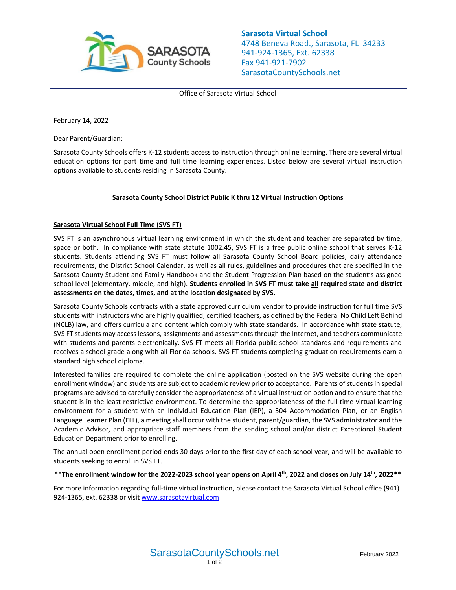

**Sarasota Virtual School** 4748 Beneva Road., Sarasota, FL 34233 941-924-1365, Ext. 62338 Fax 941-921-7902 SarasotaCountySchools.net

Office of Sarasota Virtual School

February 14, 2022

Dear Parent/Guardian:

Sarasota County Schools offers K-12 students access to instruction through online learning. There are several virtual education options for part time and full time learning experiences. Listed below are several virtual instruction options available to students residing in Sarasota County.

# **Sarasota County School District Public K thru 12 Virtual Instruction Options**

### **Sarasota Virtual School Full Time (SVS FT)**

SVS FT is an asynchronous virtual learning environment in which the student and teacher are separated by time, space or both. In compliance with state statute 1002.45, SVS FT is a free public online school that serves K-12 students. Students attending SVS FT must follow all Sarasota County School Board policies, daily attendance requirements, the District School Calendar, as well as all rules, guidelines and procedures that are specified in the Sarasota County Student and Family Handbook and the Student Progression Plan based on the student's assigned school level (elementary, middle, and high). **Students enrolled in SVS FT must take all required state and district assessments on the dates, times, and at the location designated by SVS.**

Sarasota County Schools contracts with a state approved curriculum vendor to provide instruction for full time SVS students with instructors who are highly qualified, certified teachers, as defined by the Federal No Child Left Behind (NCLB) law, and offers curricula and content which comply with state standards. In accordance with state statute, SVS FT students may access lessons, assignments and assessments through the Internet, and teachers communicate with students and parents electronically. SVS FT meets all Florida public school standards and requirements and receives a school grade along with all Florida schools. SVS FT students completing graduation requirements earn a standard high school diploma.

Interested families are required to complete the online application (posted on the SVS website during the open enrollment window) and students are subject to academic review prior to acceptance. Parents of students in special programs are advised to carefully consider the appropriateness of a virtual instruction option and to ensure that the student is in the least restrictive environment. To determine the appropriateness of the full time virtual learning environment for a student with an Individual Education Plan (IEP), a 504 Accommodation Plan, or an English Language Learner Plan (ELL), a meeting shall occur with the student, parent/guardian, the SVS administrator and the Academic Advisor, and appropriate staff members from the sending school and/or district Exceptional Student Education Department prior to enrolling.

The annual open enrollment period ends 30 days prior to the first day of each school year, and will be available to students seeking to enroll in SVS FT.

### \*\***The enrollment window for the 2022-2023 school year opens on April 4th, 2022 and closes on July 14th, 2022\*\***

For more information regarding full-time virtual instruction, please contact the Sarasota Virtual School office (941) 924-1365, ext. 62338 or visit [www.sarasotavirtual.com](http://www.sarasotavirtual.com/)